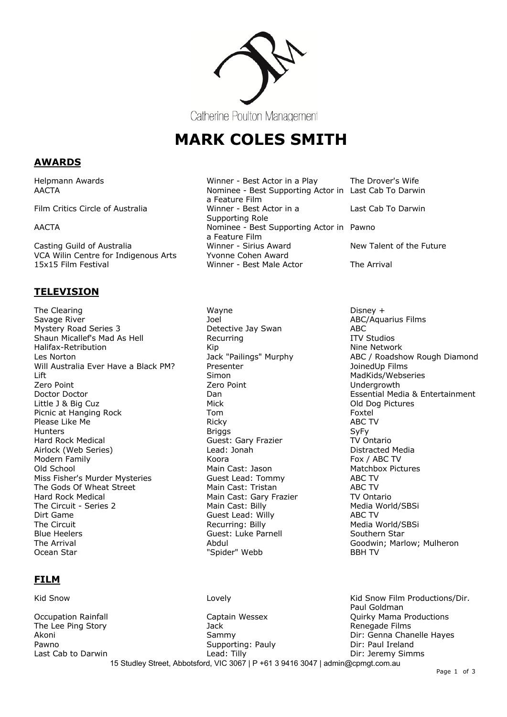

# **MARK COLES SMITH**

# **AWARDS**

Film Critics Circle of Australia

VCA Wilin Centre for Indigenous Arts Yvonne Cohen Award

# **TELEVISION**

The Clearing Network Clearing Wayne Network Clearing Disney + Savage River **Subset ABC/Aquarius Films** 30 and 30 and 30 and 30 and 30 and 30 and 45 and 46 and 46 and 46 and 46 and 46 and 46 and 47 and 47 and 47 and 47 and 47 and 47 and 47 and 47 and 47 and 47 and 47 and 47 and 47 and Mystery Road Series 3 **Detective Jay Swan** ABC Shaun Micallef's Mad As Hell **Recurring ITV** Studios Halifax-Retribution **Nine Nine Alice According to According Kip** Nine Network Les Norton **International Communist Communist Communist Communist Communist Communist Communist Communist Communist Communist Communist Communist Communist Communist Communist Communist Communist Communist Communist Commun** Will Australia Ever Have a Black PM? Presenter The Controller of the JoinedUp Films Lift **Simon** Simon Simon MadKids/Webseries Zero Point Zero Point Undergrowth Doctor Doctor **Contract Contract Contract Contract Contract Contract Contract Contract Contract Contract Contract Contract Contract Contract Contract Contract Contract Contract Contract Contract Contract Contract Contract** Little J & Big Cuz **Mick** Old Dog Pictures Picnic at Hanging Rock Tom Tom Foxtel Please Like Me **Ricky** Ricky **Ricky** ABC TV ABC TV Ricky ABC TV ABC TV ABC TV ABC TV Ricky **ABC TV** Hunters Briggs SyFy Hard Rock Medical **Hard Rock Medical** Guest: Gary Frazier **TV Ontario** Airlock (Web Series) Lead: Jonah Distracted Media Modern Family **Koora Koora** Old School Main Cast: Jason Matchbox Pictures Miss Fisher's Murder Mysteries Guest Lead: Tommy ABC TV The Gods Of Wheat Street Main Cast: Tristan ABC TV Hard Rock Medical Main Cast: Gary Frazier TV Ontario The Circuit - Series 2 Main Cast: Billy Media World/SBSi Dirt Game Guest Lead: Willy ABC TV Blue Heelers **Guest: Luke Parnell** Southern Star The Arrival **The Arrival Abdul Abdul** Abdul **Abdul** Goodwin: Marlow: Mulheron Ocean Star **Markov Exercise Start Controller** "Spider" Webb **BBH TV** 

# **FILM**

Kid Snow **Example 2018** Lovely Covely Cover 2018 (Kid Snow Film Productions/Dir.

Helpmann Awards **Million Communist Communist Communist Communist Communist Communist Communist Communist Communist Communist Communist Communist Communist Communist Communist Communist Communist Communist Communist Communi** AACTA Nominee - Best Supporting Actor in Last Cab To Darwin a Feature Film<br>Winner - Best Actor in a Supporting Role Last Cab To Darwin AACTA Nominee - Best Supporting Actor in Pawno a Feature Film Casting Guild of Australia The Minner - Sirius Award New Talent of the Future 15x15 Film Festival Winner - Best Male Actor The Arrival

Recurring: Billy Media World/SBSi

15 Studley Street, Abbotsford, VIC 3067 | P +61 3 9416 3047 | admin@cpmgt.com.au Paul Goldman Occupation Rainfall **Captain Wessex** Captain Wessex **Captain Wessex** Ouirky Mama Productions The Lee Ping Story **Story Story Story Store Bullet** Jack Alexander Store Renegade Films<br>The Lee Ping Story Sammy Sammy Sammy Sammy Dir: Genna Char Dir: Genna Chanelle Haves Pawno **Supporting: Pauly Dir: Paul Ireland** Pawno Last Cab to Darwin **Lead:** Tilly Lead: Tilly **Case Cab Lead:** Tilly **Dir:** Jeremy Simms